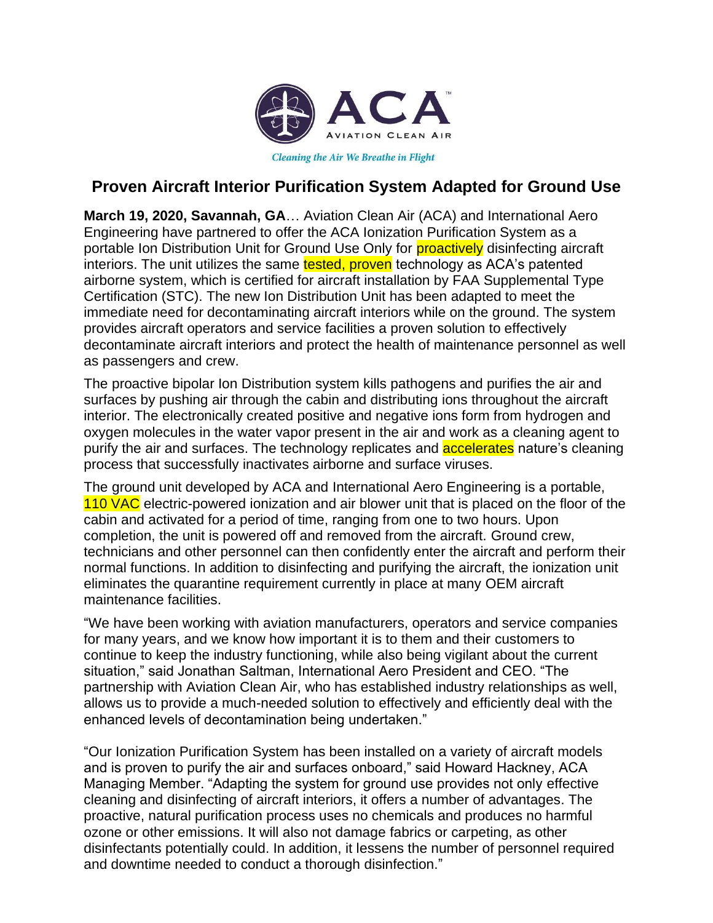

**Cleaning the Air We Breathe in Flight** 

## **Proven Aircraft Interior Purification System Adapted for Ground Use**

**March 19, 2020, Savannah, GA**… Aviation Clean Air (ACA) and International Aero Engineering have partnered to offer the ACA Ionization Purification System as a portable Ion Distribution Unit for Ground Use Only for **proactively** disinfecting aircraft interiors. The unit utilizes the same tested, proven technology as ACA's patented airborne system, which is certified for aircraft installation by FAA Supplemental Type Certification (STC). The new Ion Distribution Unit has been adapted to meet the immediate need for decontaminating aircraft interiors while on the ground. The system provides aircraft operators and service facilities a proven solution to effectively decontaminate aircraft interiors and protect the health of maintenance personnel as well as passengers and crew.

The proactive bipolar Ion Distribution system kills pathogens and purifies the air and surfaces by pushing air through the cabin and distributing ions throughout the aircraft interior. The electronically created positive and negative ions form from hydrogen and oxygen molecules in the water vapor present in the air and work as a cleaning agent to purify the air and surfaces. The technology replicates and **accelerates** nature's cleaning process that successfully inactivates airborne and surface viruses.

The ground unit developed by ACA and International Aero Engineering is a portable, 110 VAC electric-powered ionization and air blower unit that is placed on the floor of the cabin and activated for a period of time, ranging from one to two hours. Upon completion, the unit is powered off and removed from the aircraft. Ground crew, technicians and other personnel can then confidently enter the aircraft and perform their normal functions. In addition to disinfecting and purifying the aircraft, the ionization unit eliminates the quarantine requirement currently in place at many OEM aircraft maintenance facilities.

"We have been working with aviation manufacturers, operators and service companies for many years, and we know how important it is to them and their customers to continue to keep the industry functioning, while also being vigilant about the current situation," said Jonathan Saltman, International Aero President and CEO. "The partnership with Aviation Clean Air, who has established industry relationships as well, allows us to provide a much-needed solution to effectively and efficiently deal with the enhanced levels of decontamination being undertaken."

"Our Ionization Purification System has been installed on a variety of aircraft models and is proven to purify the air and surfaces onboard," said Howard Hackney, ACA Managing Member. "Adapting the system for ground use provides not only effective cleaning and disinfecting of aircraft interiors, it offers a number of advantages. The proactive, natural purification process uses no chemicals and produces no harmful ozone or other emissions. It will also not damage fabrics or carpeting, as other disinfectants potentially could. In addition, it lessens the number of personnel required and downtime needed to conduct a thorough disinfection."